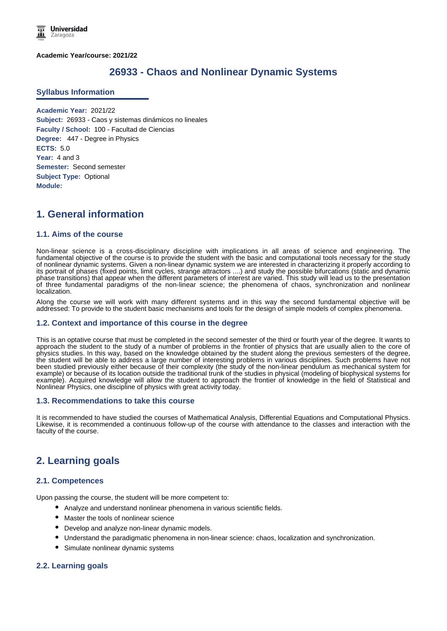**Academic Year/course: 2021/22**

# **26933 - Chaos and Nonlinear Dynamic Systems**

### **Syllabus Information**

**Academic Year:** 2021/22 **Subject:** 26933 - Caos y sistemas dinámicos no lineales **Faculty / School:** 100 - Facultad de Ciencias **Degree:** 447 - Degree in Physics **ECTS:** 5.0 **Year:** 4 and 3 **Semester:** Second semester **Subject Type:** Optional **Module:**

# **1. General information**

### **1.1. Aims of the course**

Non-linear science is a cross-disciplinary discipline with implications in all areas of science and engineering. The fundamental objective of the course is to provide the student with the basic and computational tools necessary for the study of nonlinear dynamic systems. Given a non-linear dynamic system we are interested in characterizing it properly according to its portrait of phases (fixed points, limit cycles, strange attractors ....) and study the possible bifurcations (static and dynamic phase transitions) that appear when the different parameters of interest are varied. This study will lead us to the presentation of three fundamental paradigms of the non-linear science; the phenomena of chaos, synchronization and nonlinear localization.

Along the course we will work with many different systems and in this way the second fundamental objective will be addressed: To provide to the student basic mechanisms and tools for the design of simple models of complex phenomena.

#### **1.2. Context and importance of this course in the degree**

This is an optative course that must be completed in the second semester of the third or fourth year of the degree. It wants to approach the student to the study of a number of problems in the frontier of physics that are usually alien to the core of physics studies. In this way, based on the knowledge obtained by the student along the previous semesters of the degree, the student will be able to address a large number of interesting problems in various disciplines. Such problems have not been studied previously either because of their complexity (the study of the non-linear pendulum as mechanical system for example) or because of its location outside the traditional trunk of the studies in physical (modeling of biophysical systems for example). Acquired knowledge will allow the student to approach the frontier of knowledge in the field of Statistical and Nonlinear Physics, one discipline of physics with great activity today.

#### **1.3. Recommendations to take this course**

It is recommended to have studied the courses of Mathematical Analysis, Differential Equations and Computational Physics. Likewise, it is recommended a continuous follow-up of the course with attendance to the classes and interaction with the faculty of the course.

# **2. Learning goals**

### **2.1. Competences**

Upon passing the course, the student will be more competent to:

- Analyze and understand nonlinear phenomena in various scientific fields.
- Master the tools of nonlinear science
- Develop and analyze non-linear dynamic models.
- Understand the paradigmatic phenomena in non-linear science: chaos, localization and synchronization.
- Simulate nonlinear dynamic systems

### **2.2. Learning goals**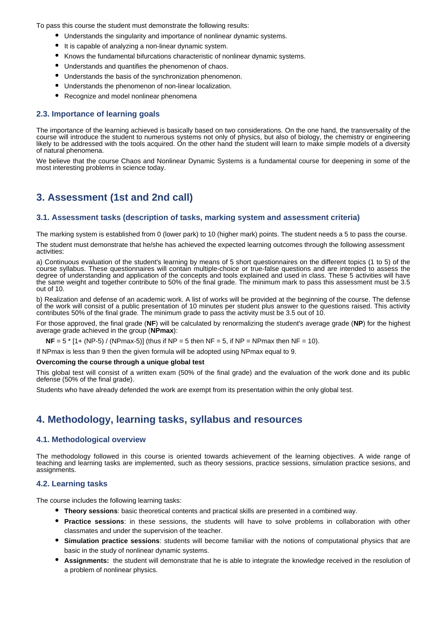To pass this course the student must demonstrate the following results:

- Understands the singularity and importance of nonlinear dynamic systems.
- It is capable of analyzing a non-linear dynamic system.
- Knows the fundamental bifurcations characteristic of nonlinear dynamic systems.
- Understands and quantifies the phenomenon of chaos.
- Understands the basis of the synchronization phenomenon.
- Understands the phenomenon of non-linear localization.
- Recognize and model nonlinear phenomena

### **2.3. Importance of learning goals**

The importance of the learning achieved is basically based on two considerations. On the one hand, the transversality of the course will introduce the student to numerous systems not only of physics, but also of biology, the chemistry or engineering likely to be addressed with the tools acquired. On the other hand the student will learn to make simple models of a diversity of natural phenomena.

We believe that the course Chaos and Nonlinear Dynamic Systems is a fundamental course for deepening in some of the most interesting problems in science today.

# **3. Assessment (1st and 2nd call)**

### **3.1. Assessment tasks (description of tasks, marking system and assessment criteria)**

The marking system is established from 0 (lower park) to 10 (higher mark) points. The student needs a 5 to pass the course.

The student must demonstrate that he/she has achieved the expected learning outcomes through the following assessment activities:

a) Continuous evaluation of the student's learning by means of 5 short questionnaires on the different topics (1 to 5) of the course syllabus. These questionnaires will contain multiple-choice or true-false questions and are intended to assess the degree of understanding and application of the concepts and tools explained and used in class. These 5 activities will have the same weight and together contribute to 50% of the final grade. The minimum mark to pass this assessment must be 3.5 out of 10.

b) Realization and defense of an academic work. A list of works will be provided at the beginning of the course. The defense of the work will consist of a public presentation of 10 minutes per student plus answer to the questions raised. This activity contributes 50% of the final grade. The minimum grade to pass the activity must be 3.5 out of 10.

For those approved, the final grade (**NF**) will be calculated by renormalizing the student's average grade (**NP**) for the highest average grade achieved in the group (**NPmax**):

**NF** =  $5$  \*  $[1 + (NP-5) / (NPmax-5)]$  (thus if NP =  $5$  then NF =  $5$ , if NP = NPmax then NF =  $10$ ).

If NPmax is less than 9 then the given formula will be adopted using NPmax equal to 9.

#### **Overcoming the course through a unique global test**

This global test will consist of a written exam (50% of the final grade) and the evaluation of the work done and its public defense (50% of the final grade).

Students who have already defended the work are exempt from its presentation within the only global test.

## **4. Methodology, learning tasks, syllabus and resources**

### **4.1. Methodological overview**

The methodology followed in this course is oriented towards achievement of the learning objectives. A wide range of teaching and learning tasks are implemented, such as theory sessions, practice sessions, simulation practice sesions, and assignments.

#### **4.2. Learning tasks**

The course includes the following learning tasks:

- **Theory sessions**: basic theoretical contents and practical skills are presented in a combined way.
- **Practice sessions**: in these sessions, the students will have to solve problems in collaboration with other classmates and under the supervision of the teacher.
- **Simulation practice sessions**: students will become familiar with the notions of computational physics that are basic in the study of nonlinear dynamic systems.
- **Assignments:** the student will demonstrate that he is able to integrate the knowledge received in the resolution of a problem of nonlinear physics.